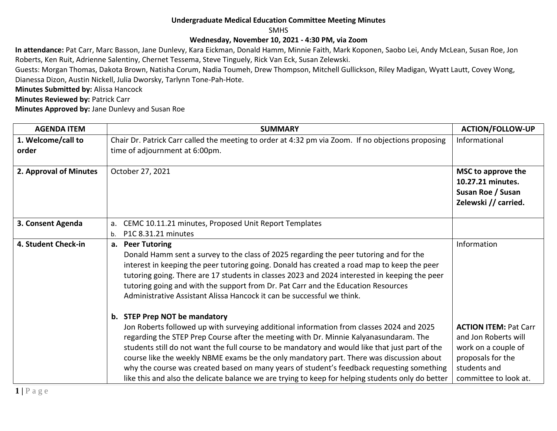## **Undergraduate Medical Education Committee Meeting Minutes**

SMHS

## **Wednesday, November 10, 2021 - 4:30 PM, via Zoom**

**In attendance:** Pat Carr, Marc Basson, Jane Dunlevy, Kara Eickman, Donald Hamm, Minnie Faith, Mark Koponen, Saobo Lei, Andy McLean, Susan Roe, Jon Roberts, Ken Ruit, Adrienne Salentiny, Chernet Tessema, Steve Tinguely, Rick Van Eck, Susan Zelewski.

Guests: Morgan Thomas, Dakota Brown, Natisha Corum, Nadia Toumeh, Drew Thompson, Mitchell Gullickson, Riley Madigan, Wyatt Lautt, Covey Wong, Dianessa Dizon, Austin Nickell, Julia Dworsky, Tarlynn Tone-Pah-Hote.

**Minutes Submitted by:** Alissa Hancock

**Minutes Reviewed by: Patrick Carr** 

**Minutes Approved by:** Jane Dunlevy and Susan Roe

| <b>AGENDA ITEM</b>     | <b>SUMMARY</b>                                                                                                                                                                                                                                                                                                                                                                                                                                                                                                                                                                     | <b>ACTION/FOLLOW-UP</b>                                                                                                                   |
|------------------------|------------------------------------------------------------------------------------------------------------------------------------------------------------------------------------------------------------------------------------------------------------------------------------------------------------------------------------------------------------------------------------------------------------------------------------------------------------------------------------------------------------------------------------------------------------------------------------|-------------------------------------------------------------------------------------------------------------------------------------------|
| 1. Welcome/call to     | Chair Dr. Patrick Carr called the meeting to order at 4:32 pm via Zoom. If no objections proposing                                                                                                                                                                                                                                                                                                                                                                                                                                                                                 | Informational                                                                                                                             |
| order                  | time of adjournment at 6:00pm.                                                                                                                                                                                                                                                                                                                                                                                                                                                                                                                                                     |                                                                                                                                           |
| 2. Approval of Minutes | October 27, 2021                                                                                                                                                                                                                                                                                                                                                                                                                                                                                                                                                                   | MSC to approve the<br>10.27.21 minutes.<br>Susan Roe / Susan<br>Zelewski // carried.                                                      |
| 3. Consent Agenda      | CEMC 10.11.21 minutes, Proposed Unit Report Templates<br>a.                                                                                                                                                                                                                                                                                                                                                                                                                                                                                                                        |                                                                                                                                           |
|                        | P1C 8.31.21 minutes<br>b.                                                                                                                                                                                                                                                                                                                                                                                                                                                                                                                                                          |                                                                                                                                           |
| 4. Student Check-in    | a. Peer Tutoring<br>Donald Hamm sent a survey to the class of 2025 regarding the peer tutoring and for the<br>interest in keeping the peer tutoring going. Donald has created a road map to keep the peer<br>tutoring going. There are 17 students in classes 2023 and 2024 interested in keeping the peer<br>tutoring going and with the support from Dr. Pat Carr and the Education Resources<br>Administrative Assistant Alissa Hancock it can be successful we think.<br>b. STEP Prep NOT be mandatory                                                                         | Information                                                                                                                               |
|                        | Jon Roberts followed up with surveying additional information from classes 2024 and 2025<br>regarding the STEP Prep Course after the meeting with Dr. Minnie Kalyanasundaram. The<br>students still do not want the full course to be mandatory and would like that just part of the<br>course like the weekly NBME exams be the only mandatory part. There was discussion about<br>why the course was created based on many years of student's feedback requesting something<br>like this and also the delicate balance we are trying to keep for helping students only do better | <b>ACTION ITEM: Pat Carr</b><br>and Jon Roberts will<br>work on a couple of<br>proposals for the<br>students and<br>committee to look at. |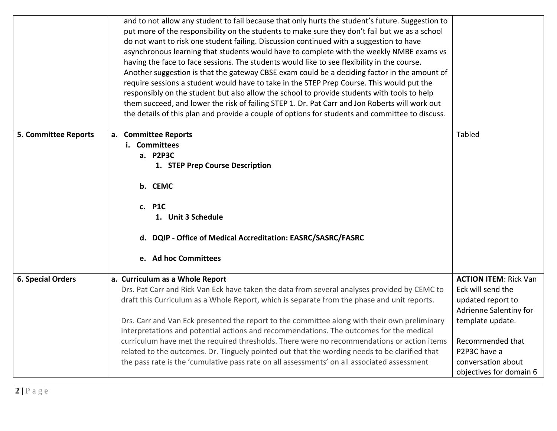|                             | and to not allow any student to fail because that only hurts the student's future. Suggestion to<br>put more of the responsibility on the students to make sure they don't fail but we as a school<br>do not want to risk one student failing. Discussion continued with a suggestion to have<br>asynchronous learning that students would have to complete with the weekly NMBE exams vs<br>having the face to face sessions. The students would like to see flexibility in the course.<br>Another suggestion is that the gateway CBSE exam could be a deciding factor in the amount of<br>require sessions a student would have to take in the STEP Prep Course. This would put the<br>responsibly on the student but also allow the school to provide students with tools to help |                                                                                                                                                                                                           |
|-----------------------------|--------------------------------------------------------------------------------------------------------------------------------------------------------------------------------------------------------------------------------------------------------------------------------------------------------------------------------------------------------------------------------------------------------------------------------------------------------------------------------------------------------------------------------------------------------------------------------------------------------------------------------------------------------------------------------------------------------------------------------------------------------------------------------------|-----------------------------------------------------------------------------------------------------------------------------------------------------------------------------------------------------------|
|                             | them succeed, and lower the risk of failing STEP 1. Dr. Pat Carr and Jon Roberts will work out<br>the details of this plan and provide a couple of options for students and committee to discuss.                                                                                                                                                                                                                                                                                                                                                                                                                                                                                                                                                                                    |                                                                                                                                                                                                           |
| <b>5. Committee Reports</b> | a. Committee Reports<br>i. Committees<br>a. P2P3C<br>1. STEP Prep Course Description<br>b. CEMC<br>c. P1C<br>1. Unit 3 Schedule<br>d. DQIP - Office of Medical Accreditation: EASRC/SASRC/FASRC<br>e. Ad hoc Committees                                                                                                                                                                                                                                                                                                                                                                                                                                                                                                                                                              | Tabled                                                                                                                                                                                                    |
| <b>6. Special Orders</b>    | a. Curriculum as a Whole Report<br>Drs. Pat Carr and Rick Van Eck have taken the data from several analyses provided by CEMC to<br>draft this Curriculum as a Whole Report, which is separate from the phase and unit reports.<br>Drs. Carr and Van Eck presented the report to the committee along with their own preliminary<br>interpretations and potential actions and recommendations. The outcomes for the medical<br>curriculum have met the required thresholds. There were no recommendations or action items<br>related to the outcomes. Dr. Tinguely pointed out that the wording needs to be clarified that<br>the pass rate is the 'cumulative pass rate on all assessments' on all associated assessment                                                              | <b>ACTION ITEM: Rick Van</b><br>Eck will send the<br>updated report to<br>Adrienne Salentiny for<br>template update.<br>Recommended that<br>P2P3C have a<br>conversation about<br>objectives for domain 6 |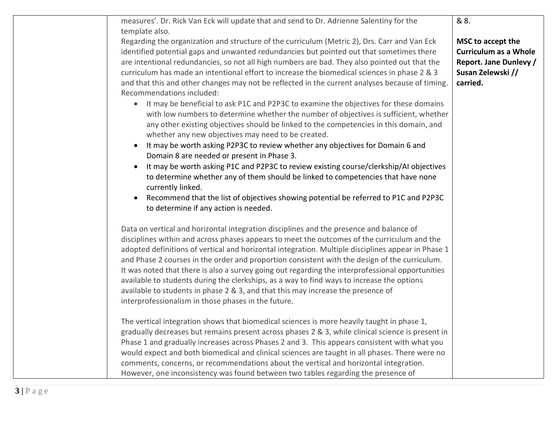| measures'. Dr. Rick Van Eck will update that and send to Dr. Adrienne Salentiny for the<br>template also.                                                                                                                                                                                                                                                                                                                                                                                                                                                                                                                                                                                                                                                                                                                                                                                                                                                                                                                                                                                                                                                                                                                                                                                                                                    | & 8.                                                                                                                |
|----------------------------------------------------------------------------------------------------------------------------------------------------------------------------------------------------------------------------------------------------------------------------------------------------------------------------------------------------------------------------------------------------------------------------------------------------------------------------------------------------------------------------------------------------------------------------------------------------------------------------------------------------------------------------------------------------------------------------------------------------------------------------------------------------------------------------------------------------------------------------------------------------------------------------------------------------------------------------------------------------------------------------------------------------------------------------------------------------------------------------------------------------------------------------------------------------------------------------------------------------------------------------------------------------------------------------------------------|---------------------------------------------------------------------------------------------------------------------|
| Regarding the organization and structure of the curriculum (Metric 2), Drs. Carr and Van Eck<br>identified potential gaps and unwanted redundancies but pointed out that sometimes there<br>are intentional redundancies, so not all high numbers are bad. They also pointed out that the<br>curriculum has made an intentional effort to increase the biomedical sciences in phase 2 & 3<br>and that this and other changes may not be reflected in the current analyses because of timing.<br>Recommendations included:<br>It may be beneficial to ask P1C and P2P3C to examine the objectives for these domains<br>$\bullet$<br>with low numbers to determine whether the number of objectives is sufficient, whether<br>any other existing objectives should be linked to the competencies in this domain, and<br>whether any new objectives may need to be created.<br>It may be worth asking P2P3C to review whether any objectives for Domain 6 and<br>Domain 8 are needed or present in Phase 3.<br>It may be worth asking P1C and P2P3C to review existing course/clerkship/AI objectives<br>to determine whether any of them should be linked to competencies that have none<br>currently linked.<br>Recommend that the list of objectives showing potential be referred to P1C and P2P3C<br>to determine if any action is needed. | MSC to accept the<br><b>Curriculum as a Whole</b><br><b>Report. Jane Dunlevy /</b><br>Susan Zelewski //<br>carried. |
| Data on vertical and horizontal integration disciplines and the presence and balance of<br>disciplines within and across phases appears to meet the outcomes of the curriculum and the<br>adopted definitions of vertical and horizontal integration. Multiple disciplines appear in Phase 1<br>and Phase 2 courses in the order and proportion consistent with the design of the curriculum.<br>It was noted that there is also a survey going out regarding the interprofessional opportunities<br>available to students during the clerkships, as a way to find ways to increase the options<br>available to students in phase 2 & 3, and that this may increase the presence of<br>interprofessionalism in those phases in the future.                                                                                                                                                                                                                                                                                                                                                                                                                                                                                                                                                                                                   |                                                                                                                     |
| The vertical integration shows that biomedical sciences is more heavily taught in phase 1,<br>gradually decreases but remains present across phases 2 & 3, while clinical science is present in<br>Phase 1 and gradually increases across Phases 2 and 3. This appears consistent with what you<br>would expect and both biomedical and clinical sciences are taught in all phases. There were no<br>comments, concerns, or recommendations about the vertical and horizontal integration.<br>However, one inconsistency was found between two tables regarding the presence of                                                                                                                                                                                                                                                                                                                                                                                                                                                                                                                                                                                                                                                                                                                                                              |                                                                                                                     |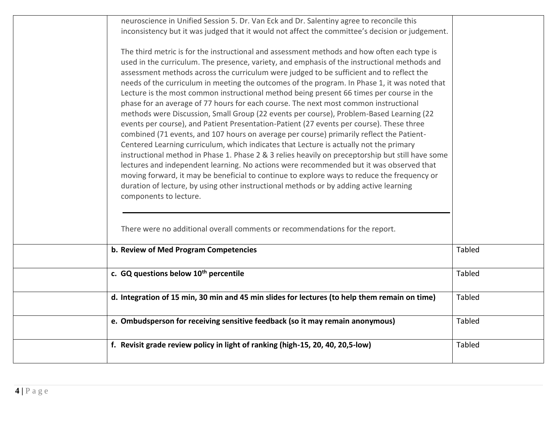| neuroscience in Unified Session 5. Dr. Van Eck and Dr. Salentiny agree to reconcile this<br>inconsistency but it was judged that it would not affect the committee's decision or judgement.                                                                                                                                                                                                                                                                                                                                                                                                                                                                                                                                                                                                                                                                                                                                                                                                                                                                                                                                                                                                                                                                                                                                                                                 |               |  |
|-----------------------------------------------------------------------------------------------------------------------------------------------------------------------------------------------------------------------------------------------------------------------------------------------------------------------------------------------------------------------------------------------------------------------------------------------------------------------------------------------------------------------------------------------------------------------------------------------------------------------------------------------------------------------------------------------------------------------------------------------------------------------------------------------------------------------------------------------------------------------------------------------------------------------------------------------------------------------------------------------------------------------------------------------------------------------------------------------------------------------------------------------------------------------------------------------------------------------------------------------------------------------------------------------------------------------------------------------------------------------------|---------------|--|
| The third metric is for the instructional and assessment methods and how often each type is<br>used in the curriculum. The presence, variety, and emphasis of the instructional methods and<br>assessment methods across the curriculum were judged to be sufficient and to reflect the<br>needs of the curriculum in meeting the outcomes of the program. In Phase 1, it was noted that<br>Lecture is the most common instructional method being present 66 times per course in the<br>phase for an average of 77 hours for each course. The next most common instructional<br>methods were Discussion, Small Group (22 events per course), Problem-Based Learning (22<br>events per course), and Patient Presentation-Patient (27 events per course). These three<br>combined (71 events, and 107 hours on average per course) primarily reflect the Patient-<br>Centered Learning curriculum, which indicates that Lecture is actually not the primary<br>instructional method in Phase 1. Phase 2 & 3 relies heavily on preceptorship but still have some<br>lectures and independent learning. No actions were recommended but it was observed that<br>moving forward, it may be beneficial to continue to explore ways to reduce the frequency or<br>duration of lecture, by using other instructional methods or by adding active learning<br>components to lecture. |               |  |
| There were no additional overall comments or recommendations for the report.                                                                                                                                                                                                                                                                                                                                                                                                                                                                                                                                                                                                                                                                                                                                                                                                                                                                                                                                                                                                                                                                                                                                                                                                                                                                                                |               |  |
| b. Review of Med Program Competencies                                                                                                                                                                                                                                                                                                                                                                                                                                                                                                                                                                                                                                                                                                                                                                                                                                                                                                                                                                                                                                                                                                                                                                                                                                                                                                                                       | <b>Tabled</b> |  |
| c. GQ questions below 10 <sup>th</sup> percentile                                                                                                                                                                                                                                                                                                                                                                                                                                                                                                                                                                                                                                                                                                                                                                                                                                                                                                                                                                                                                                                                                                                                                                                                                                                                                                                           | <b>Tabled</b> |  |
| d. Integration of 15 min, 30 min and 45 min slides for lectures (to help them remain on time)                                                                                                                                                                                                                                                                                                                                                                                                                                                                                                                                                                                                                                                                                                                                                                                                                                                                                                                                                                                                                                                                                                                                                                                                                                                                               | Tabled        |  |
| e. Ombudsperson for receiving sensitive feedback (so it may remain anonymous)                                                                                                                                                                                                                                                                                                                                                                                                                                                                                                                                                                                                                                                                                                                                                                                                                                                                                                                                                                                                                                                                                                                                                                                                                                                                                               | <b>Tabled</b> |  |
| f. Revisit grade review policy in light of ranking (high-15, 20, 40, 20,5-low)                                                                                                                                                                                                                                                                                                                                                                                                                                                                                                                                                                                                                                                                                                                                                                                                                                                                                                                                                                                                                                                                                                                                                                                                                                                                                              | Tabled        |  |